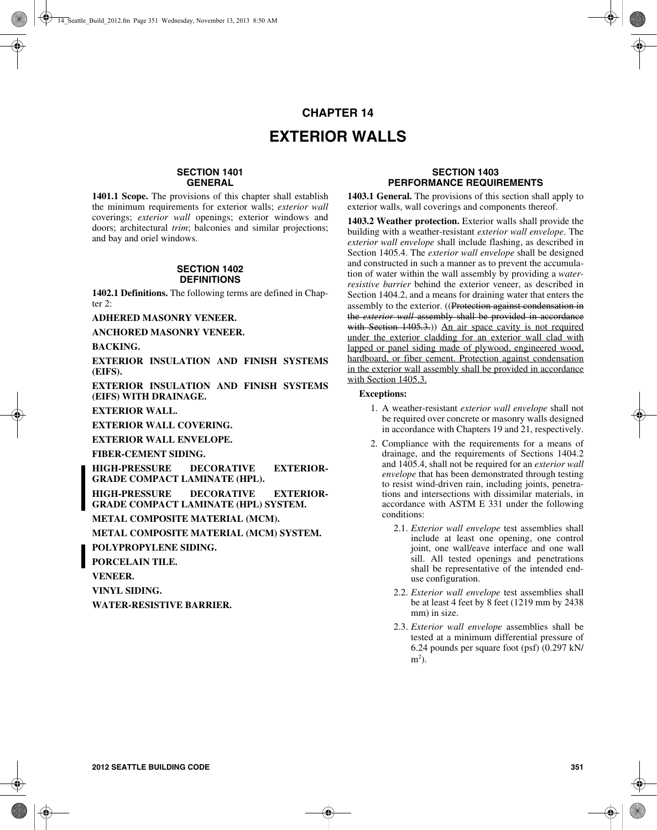# **CHAPTER 14 EXTERIOR WALLS**

## **SECTION 1401 GENERAL**

**1401.1 Scope.** The provisions of this chapter shall establish the minimum requirements for exterior walls; *exterior wall* coverings; *exterior wall* openings; exterior windows and doors; architectural *trim*; balconies and similar projections; and bay and oriel windows.

#### **SECTION 1402 DEFINITIONS**

**1402.1 Definitions.** The following terms are defined in Chapter 2:

**ADHERED MASONRY VENEER.**

**ANCHORED MASONRY VENEER.**

**BACKING.**

**EXTERIOR INSULATION AND FINISH SYSTEMS (EIFS).** 

**EXTERIOR INSULATION AND FINISH SYSTEMS (EIFS) WITH DRAINAGE.** 

**EXTERIOR WALL.**

**EXTERIOR WALL COVERING.**

**EXTERIOR WALL ENVELOPE.**

**FIBER-CEMENT SIDING.**

**HIGH-PRESSURE DECORATIVE EXTERIOR-GRADE COMPACT LAMINATE (HPL).**

**HIGH-PRESSURE DECORATIVE EXTERIOR-GRADE COMPACT LAMINATE (HPL) SYSTEM.**

**METAL COMPOSITE MATERIAL (MCM).**

**METAL COMPOSITE MATERIAL (MCM) SYSTEM.**

**POLYPROPYLENE SIDING.**

**PORCELAIN TILE.**

**VENEER.**

**VINYL SIDING.**

**WATER-RESISTIVE BARRIER.**

# **SECTION 1403 PERFORMANCE REQUIREMENTS**

**1403.1 General.** The provisions of this section shall apply to exterior walls, wall coverings and components thereof.

**1403.2 Weather protection.** Exterior walls shall provide the building with a weather-resistant *exterior wall envelope*. The *exterior wall envelope* shall include flashing, as described in Section 1405.4. The *exterior wall envelope* shall be designed and constructed in such a manner as to prevent the accumulation of water within the wall assembly by providing a *waterresistive barrier* behind the exterior veneer, as described in Section 1404.2, and a means for draining water that enters the assembly to the exterior. ((Protection against condensation in the *exterior wall* assembly shall be provided in accordance with Section 1405.3.)) An air space cavity is not required under the exterior cladding for an exterior wall clad with lapped or panel siding made of plywood, engineered wood, hardboard, or fiber cement. Protection against condensation in the exterior wall assembly shall be provided in accordance with Section 1405.3.

#### **Exceptions:**

- 1. A weather-resistant *exterior wall envelope* shall not be required over concrete or masonry walls designed in accordance with Chapters 19 and 21, respectively.
- 2. Compliance with the requirements for a means of drainage, and the requirements of Sections 1404.2 and 1405.4, shall not be required for an *exterior wall envelope* that has been demonstrated through testing to resist wind-driven rain, including joints, penetrations and intersections with dissimilar materials, in accordance with ASTM E 331 under the following conditions:
	- 2.1. *Exterior wall envelope* test assemblies shall include at least one opening, one control joint, one wall/eave interface and one wall sill. All tested openings and penetrations shall be representative of the intended enduse configuration.
	- 2.2. *Exterior wall envelope* test assemblies shall be at least 4 feet by  $\hat{8}$  feet (1219 mm by 2438) mm) in size.
	- 2.3. *Exterior wall envelope* assemblies shall be tested at a minimum differential pressure of 6.24 pounds per square foot (psf) (0.297 kN/  $m<sup>2</sup>$ ).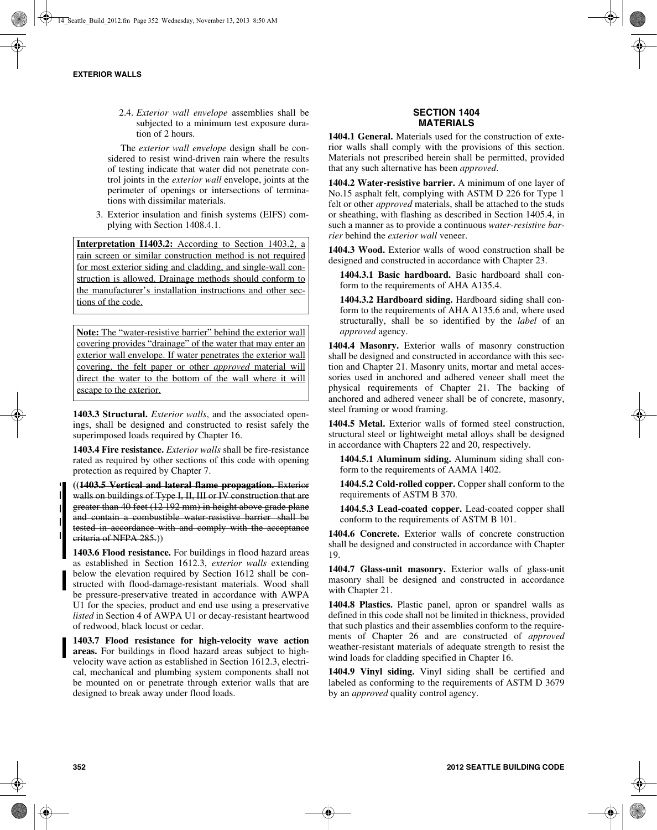2.4. *Exterior wall envelope* assemblies shall be subjected to a minimum test exposure duration of 2 hours.

The *exterior wall envelope* design shall be considered to resist wind-driven rain where the results of testing indicate that water did not penetrate control joints in the *exterior wall* envelope, joints at the perimeter of openings or intersections of terminations with dissimilar materials.

3. Exterior insulation and finish systems (EIFS) complying with Section 1408.4.1.

**Interpretation I1403.2:** According to Section 1403.2, a rain screen or similar construction method is not required for most exterior siding and cladding, and single-wall construction is allowed. Drainage methods should conform to the manufacturer's installation instructions and other sections of the code.

**Note:** The "water-resistive barrier" behind the exterior wall covering provides "drainage" of the water that may enter an exterior wall envelope. If water penetrates the exterior wall covering, the felt paper or other *approved* material will direct the water to the bottom of the wall where it will escape to the exterior.

**1403.3 Structural.** *Exterior walls*, and the associated openings, shall be designed and constructed to resist safely the superimposed loads required by Chapter 16.

**1403.4 Fire resistance.** *Exterior walls* shall be fire-resistance rated as required by other sections of this code with opening protection as required by Chapter 7.

**((1403.5 Vertical and lateral flame propagation.** Exterior walls on buildings of Type I, II, III or IV construction that are greater than 40 feet (12 192 mm) in height above grade plane and contain a combustible water-resistive barrier shall be tested in accordance with and comply with the acceptance criteria of NFPA 285.))

**1403.6 Flood resistance.** For buildings in flood hazard areas as established in Section 1612.3, *exterior walls* extending below the elevation required by Section 1612 shall be constructed with flood-damage-resistant materials. Wood shall be pressure-preservative treated in accordance with AWPA U1 for the species, product and end use using a preservative *listed* in Section 4 of AWPA U1 or decay-resistant heartwood of redwood, black locust or cedar.

**1403.7 Flood resistance for high-velocity wave action areas.** For buildings in flood hazard areas subject to highvelocity wave action as established in Section 1612.3, electrical, mechanical and plumbing system components shall not be mounted on or penetrate through exterior walls that are designed to break away under flood loads.

# **SECTION 1404 MATERIALS**

**1404.1 General.** Materials used for the construction of exterior walls shall comply with the provisions of this section. Materials not prescribed herein shall be permitted, provided that any such alternative has been *approved*.

**1404.2 Water-resistive barrier.** A minimum of one layer of No.15 asphalt felt, complying with ASTM D 226 for Type 1 felt or other *approved* materials, shall be attached to the studs or sheathing, with flashing as described in Section 1405.4, in such a manner as to provide a continuous *water-resistive barrier* behind the *exterior wall* veneer.

**1404.3 Wood.** Exterior walls of wood construction shall be designed and constructed in accordance with Chapter 23.

**1404.3.1 Basic hardboard.** Basic hardboard shall conform to the requirements of AHA A135.4.

**1404.3.2 Hardboard siding.** Hardboard siding shall conform to the requirements of AHA A135.6 and, where used structurally, shall be so identified by the *label* of an *approved* agency.

**1404.4 Masonry.** Exterior walls of masonry construction shall be designed and constructed in accordance with this section and Chapter 21. Masonry units, mortar and metal accessories used in anchored and adhered veneer shall meet the physical requirements of Chapter 21. The backing of anchored and adhered veneer shall be of concrete, masonry, steel framing or wood framing.

**1404.5 Metal.** Exterior walls of formed steel construction, structural steel or lightweight metal alloys shall be designed in accordance with Chapters 22 and 20, respectively.

**1404.5.1 Aluminum siding.** Aluminum siding shall conform to the requirements of AAMA 1402.

**1404.5.2 Cold-rolled copper.** Copper shall conform to the requirements of ASTM B 370.

**1404.5.3 Lead-coated copper.** Lead-coated copper shall conform to the requirements of ASTM B 101.

**1404.6 Concrete.** Exterior walls of concrete construction shall be designed and constructed in accordance with Chapter 19.

**1404.7 Glass-unit masonry.** Exterior walls of glass-unit masonry shall be designed and constructed in accordance with Chapter 21.

**1404.8 Plastics.** Plastic panel, apron or spandrel walls as defined in this code shall not be limited in thickness, provided that such plastics and their assemblies conform to the requirements of Chapter 26 and are constructed of *approved* weather-resistant materials of adequate strength to resist the wind loads for cladding specified in Chapter 16.

**1404.9 Vinyl siding.** Vinyl siding shall be certified and labeled as conforming to the requirements of ASTM D 3679 by an *approved* quality control agency.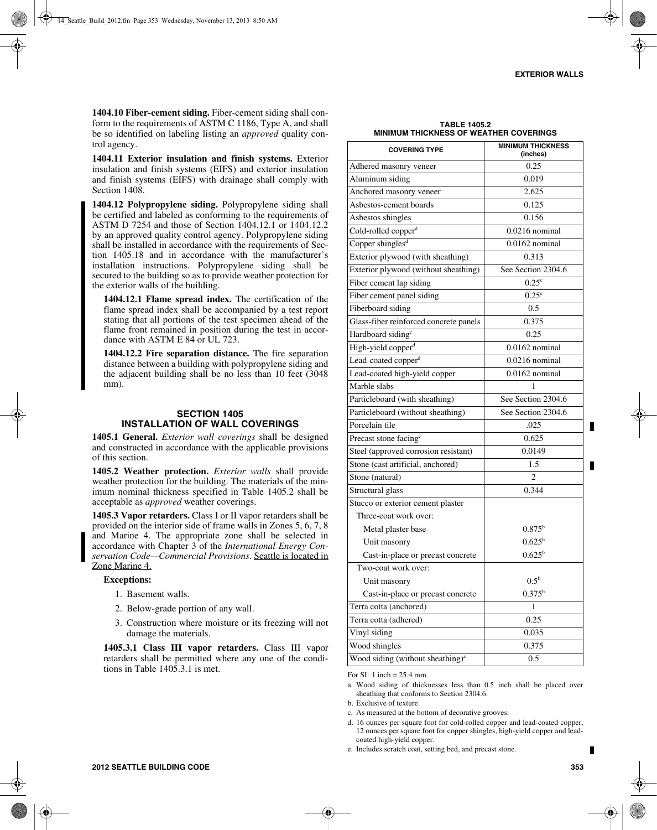**1404.10 Fiber-cement siding.** Fiber-cement siding shall conform to the requirements of ASTM C 1186, Type A, and shall be so identified on labeling listing an *approved* quality control agency.

**1404.11 Exterior insulation and finish systems.** Exterior insulation and finish systems (EIFS) and exterior insulation and finish systems (EIFS) with drainage shall comply with Section 1408.

**1404.12 Polypropylene siding.** Polypropylene siding shall be certified and labeled as conforming to the requirements of ASTM D 7254 and those of Section 1404.12.1 or 1404.12.2 by an approved quality control agency. Polypropylene siding shall be installed in accordance with the requirements of Section 1405.18 and in accordance with the manufacturer's installation instructions. Polypropylene siding shall be secured to the building so as to provide weather protection for the exterior walls of the building.

**1404.12.1 Flame spread index.** The certification of the flame spread index shall be accompanied by a test report stating that all portions of the test specimen ahead of the flame front remained in position during the test in accordance with ASTM E 84 or UL 723.

**1404.12.2 Fire separation distance.** The fire separation distance between a building with polypropylene siding and the adjacent building shall be no less than 10 feet (3048 mm).

#### **SECTION 1405 INSTALLATION OF WALL COVERINGS**

**1405.1 General.** *Exterior wall coverings* shall be designed and constructed in accordance with the applicable provisions of this section.

**1405.2 Weather protection.** *Exterior walls* shall provide weather protection for the building. The materials of the minimum nominal thickness specified in Table 1405.2 shall be acceptable as *approved* weather coverings.

**1405.3 Vapor retarders.** Class I or II vapor retarders shall be provided on the interior side of frame walls in Zones 5, 6, 7, 8 and Marine 4. The appropriate zone shall be selected in accordance with Chapter 3 of the *International Energy Conservation Code—Commercial Provisions*. Seattle is located in Zone Marine 4.

#### **Exceptions:**

- 1. Basement walls.
- 2. Below-grade portion of any wall.
- 3. Construction where moisture or its freezing will not damage the materials.

**1405.3.1 Class III vapor retarders.** Class III vapor retarders shall be permitted where any one of the conditions in Table 1405.3.1 is met.

**TABLE 1405.2 MINIMUM THICKNESS OF WEATHER COVERINGS**

| <b>COVERING TYPE</b>                         | <b>MINIMUM THICKNESS</b><br>(inches) |  |  |
|----------------------------------------------|--------------------------------------|--|--|
| Adhered masonry veneer                       | 0.25                                 |  |  |
| Aluminum siding                              | 0.019                                |  |  |
| Anchored masonry veneer                      | 2.625                                |  |  |
| Asbestos-cement boards                       | 0.125                                |  |  |
| Asbestos shingles                            | 0.156                                |  |  |
| Cold-rolled copper <sup>d</sup>              | $0.0216$ nominal                     |  |  |
| Copper shingles <sup>d</sup>                 | $0.0162$ nominal                     |  |  |
| Exterior plywood (with sheathing)            | 0.313                                |  |  |
| Exterior plywood (without sheathing)         | See Section 2304.6                   |  |  |
| Fiber cement lap siding                      | $0.25^{\circ}$                       |  |  |
| Fiber cement panel siding                    | $\overline{0.25}$ <sup>c</sup>       |  |  |
| Fiberboard siding                            | 0.5                                  |  |  |
| Glass-fiber reinforced concrete panels       | 0.375                                |  |  |
| Hardboard siding <sup>c</sup>                | 0.25                                 |  |  |
| High-yield copper <sup>d</sup>               | $0.0162$ nominal                     |  |  |
| Lead-coated copper <sup>d</sup>              | $0.0216$ nominal                     |  |  |
| Lead-coated high-yield copper                | $0.0162$ nominal                     |  |  |
| Marble slabs                                 | 1                                    |  |  |
| Particleboard (with sheathing)               | See Section 2304.6                   |  |  |
| Particleboard (without sheathing)            | See Section 2304.6                   |  |  |
| Porcelain tile                               | .025                                 |  |  |
| Precast stone facing <sup>e</sup>            | 0.625                                |  |  |
| Steel (approved corrosion resistant)         | 0.0149                               |  |  |
| Stone (cast artificial, anchored)            | 1.5                                  |  |  |
| Stone (natural)                              | 2                                    |  |  |
| Structural glass                             | 0.344                                |  |  |
| Stucco or exterior cement plaster            |                                      |  |  |
| Three-coat work over:                        |                                      |  |  |
| Metal plaster base                           | $0.875^{\circ}$                      |  |  |
| Unit masonry                                 | $0.625^{\rm b}$                      |  |  |
| Cast-in-place or precast concrete            | $0.625^{b}$                          |  |  |
| Two-coat work over:                          |                                      |  |  |
| Unit masonry                                 | $0.5^{\rm b}$                        |  |  |
| Cast-in-place or precast concrete            | $0.375^{\rm b}$                      |  |  |
| Terra cotta (anchored)                       | 1                                    |  |  |
| Terra cotta (adhered)                        | 0.25                                 |  |  |
| Vinyl siding                                 | 0.035                                |  |  |
| Wood shingles                                | 0.375                                |  |  |
| Wood siding (without sheathing) <sup>a</sup> | 0.5                                  |  |  |

For SI: 1 inch = 25.4 mm.

a. Wood siding of thicknesses less than 0.5 inch shall be placed over sheathing that conforms to Section 2304.6.

b. Exclusive of texture.

c. As measured at the bottom of decorative grooves.

d. 16 ounces per square foot for cold-rolled copper and lead-coated copper, 12 ounces per square foot for copper shingles, high-yield copper and leadcoated high-yield copper.

e. Includes scratch coat, setting bed, and precast stone.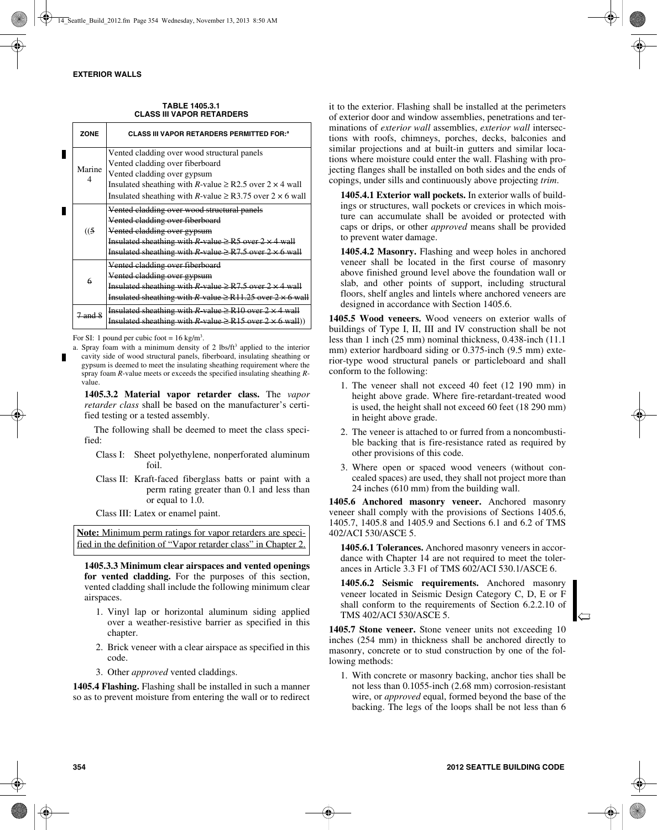| ZONE        | <b>CLASS III VAPOR RETARDERS PERMITTED FOR:</b> <sup>8</sup>                                                                                                                                                                                                 |
|-------------|--------------------------------------------------------------------------------------------------------------------------------------------------------------------------------------------------------------------------------------------------------------|
| Marine<br>4 | Vented cladding over wood structural panels<br>Vented cladding over fiberboard<br>Vented cladding over gypsum<br>Insulated sheathing with R-value $\geq$ R2.5 over 2 $\times$ 4 wall<br>Insulated sheathing with R-value $\geq$ R3.75 over 2 $\times$ 6 wall |
| (15)        | Vented cladding over wood structural panels<br>Vented cladding over fiberboard<br>Vented cladding over gypsum<br>Insulated sheathing with $R$ -value $\geq$ R5 over 2 $\times$ 4 wall<br>Insulated sheathing with R-value $\geq$ R7.5 over 2 $\times$ 6 wall |
| 6           | Vented cladding over fiberboard<br>Vented cladding over gypsum<br>Insulated sheathing with $R$ -value $\geq$ R7.5 over 2 $\times$ 4 wall<br>Insulated sheathing with $R$ value $\geq R11.25$ over $2 \times 6$ wall                                          |
| 7 and 8     | Insulated sheathing with $R$ -value $\geq$ R10 over 2 $\times$ 4 wall<br>Insulated sheathing with R-value $\geq$ R15 over 2 $\times$ 6 wall))                                                                                                                |

**TABLE 1405.3.1 CLASS III VAPOR RETARDERS**

For SI: 1 pound per cubic foot =  $16 \text{ kg/m}^3$ .

a. Spray foam with a minimum density of 2 lbs/ft<sup>3</sup> applied to the interior cavity side of wood structural panels, fiberboard, insulating sheathing or gypsum is deemed to meet the insulating sheathing requirement where the spray foam *R*-value meets or exceeds the specified insulating sheathing *R*value.

**1405.3.2 Material vapor retarder class.** The *vapor retarder class* shall be based on the manufacturer's certified testing or a tested assembly.

The following shall be deemed to meet the class specified:

- Class I: Sheet polyethylene, nonperforated aluminum foil.
- Class II: Kraft-faced fiberglass batts or paint with a perm rating greater than 0.1 and less than or equal to 1.0.

Class III: Latex or enamel paint.

**Note:** Minimum perm ratings for vapor retarders are specified in the definition of "Vapor retarder class" in Chapter 2.

**1405.3.3 Minimum clear airspaces and vented openings for vented cladding.** For the purposes of this section, vented cladding shall include the following minimum clear airspaces.

- 1. Vinyl lap or horizontal aluminum siding applied over a weather-resistive barrier as specified in this chapter.
- 2. Brick veneer with a clear airspace as specified in this code.
- 3. Other *approved* vented claddings.

**1405.4 Flashing.** Flashing shall be installed in such a manner so as to prevent moisture from entering the wall or to redirect

it to the exterior. Flashing shall be installed at the perimeters of exterior door and window assemblies, penetrations and terminations of *exterior wall* assemblies, *exterior wall* intersections with roofs, chimneys, porches, decks, balconies and similar projections and at built-in gutters and similar locations where moisture could enter the wall. Flashing with projecting flanges shall be installed on both sides and the ends of copings, under sills and continuously above projecting *trim*.

**1405.4.1 Exterior wall pockets.** In exterior walls of buildings or structures, wall pockets or crevices in which moisture can accumulate shall be avoided or protected with caps or drips, or other *approved* means shall be provided to prevent water damage.

**1405.4.2 Masonry.** Flashing and weep holes in anchored veneer shall be located in the first course of masonry above finished ground level above the foundation wall or slab, and other points of support, including structural floors, shelf angles and lintels where anchored veneers are designed in accordance with Section 1405.6.

**1405.5 Wood veneers.** Wood veneers on exterior walls of buildings of Type I, II, III and IV construction shall be not less than 1 inch (25 mm) nominal thickness, 0.438-inch (11.1 mm) exterior hardboard siding or 0.375-inch (9.5 mm) exterior-type wood structural panels or particleboard and shall conform to the following:

- 1. The veneer shall not exceed 40 feet (12 190 mm) in height above grade. Where fire-retardant-treated wood is used, the height shall not exceed 60 feet (18 290 mm) in height above grade.
- 2. The veneer is attached to or furred from a noncombustible backing that is fire-resistance rated as required by other provisions of this code.
- 3. Where open or spaced wood veneers (without concealed spaces) are used, they shall not project more than 24 inches (610 mm) from the building wall.

**1405.6 Anchored masonry veneer.** Anchored masonry veneer shall comply with the provisions of Sections 1405.6, 1405.7, 1405.8 and 1405.9 and Sections 6.1 and 6.2 of TMS 402/ACI 530/ASCE 5.

**1405.6.1 Tolerances.** Anchored masonry veneers in accordance with Chapter 14 are not required to meet the tolerances in Article 3.3 F1 of TMS 602/ACI 530.1/ASCE 6.

**1405.6.2 Seismic requirements.** Anchored masonry veneer located in Seismic Design Category C, D, E or F shall conform to the requirements of Section 6.2.2.10 of TMS 402/ACI 530/ASCE 5.

**1405.7 Stone veneer.** Stone veneer units not exceeding 10 inches (254 mm) in thickness shall be anchored directly to masonry, concrete or to stud construction by one of the following methods:

1. With concrete or masonry backing, anchor ties shall be not less than 0.1055-inch (2.68 mm) corrosion-resistant wire, or *approved* equal, formed beyond the base of the backing. The legs of the loops shall be not less than 6

 $\overline{\phantom{a}}$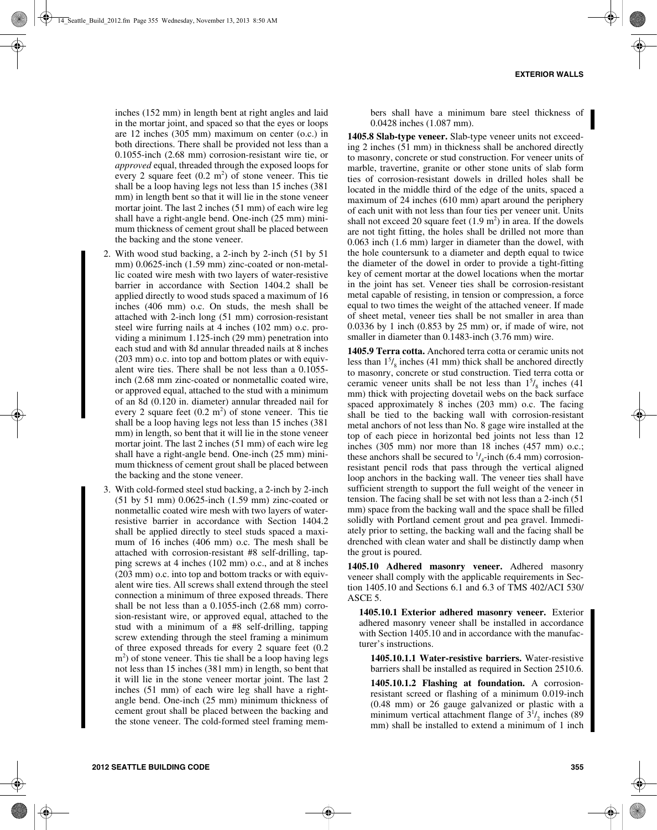inches (152 mm) in length bent at right angles and laid in the mortar joint, and spaced so that the eyes or loops are 12 inches (305 mm) maximum on center (o.c.) in both directions. There shall be provided not less than a 0.1055-inch (2.68 mm) corrosion-resistant wire tie, or *approved* equal, threaded through the exposed loops for every 2 square feet  $(0.2 \text{ m}^2)$  of stone veneer. This tie shall be a loop having legs not less than 15 inches (381 mm) in length bent so that it will lie in the stone veneer mortar joint. The last 2 inches (51 mm) of each wire leg shall have a right-angle bend. One-inch (25 mm) minimum thickness of cement grout shall be placed between the backing and the stone veneer.

- 2. With wood stud backing, a 2-inch by 2-inch (51 by 51 mm) 0.0625-inch (1.59 mm) zinc-coated or non-metallic coated wire mesh with two layers of water-resistive barrier in accordance with Section 1404.2 shall be applied directly to wood studs spaced a maximum of 16 inches (406 mm) o.c. On studs, the mesh shall be attached with 2-inch long (51 mm) corrosion-resistant steel wire furring nails at 4 inches (102 mm) o.c. providing a minimum 1.125-inch (29 mm) penetration into each stud and with 8d annular threaded nails at 8 inches (203 mm) o.c. into top and bottom plates or with equivalent wire ties. There shall be not less than a 0.1055 inch (2.68 mm zinc-coated or nonmetallic coated wire, or approved equal, attached to the stud with a minimum of an 8d (0.120 in. diameter) annular threaded nail for every 2 square feet  $(0.2 \text{ m}^2)$  of stone veneer. This tie shall be a loop having legs not less than 15 inches (381 mm) in length, so bent that it will lie in the stone veneer mortar joint. The last 2 inches (51 mm) of each wire leg shall have a right-angle bend. One-inch (25 mm) minimum thickness of cement grout shall be placed between the backing and the stone veneer.
- 3. With cold-formed steel stud backing, a 2-inch by 2-inch (51 by 51 mm) 0.0625-inch (1.59 mm) zinc-coated or nonmetallic coated wire mesh with two layers of waterresistive barrier in accordance with Section 1404.2 shall be applied directly to steel studs spaced a maximum of 16 inches (406 mm) o.c. The mesh shall be attached with corrosion-resistant #8 self-drilling, tapping screws at 4 inches (102 mm) o.c., and at 8 inches (203 mm) o.c. into top and bottom tracks or with equivalent wire ties. All screws shall extend through the steel connection a minimum of three exposed threads. There shall be not less than a 0.1055-inch (2.68 mm) corrosion-resistant wire, or approved equal, attached to the stud with a minimum of a #8 self-drilling, tapping screw extending through the steel framing a minimum of three exposed threads for every 2 square feet (0.2 m<sup>2</sup>) of stone veneer. This tie shall be a loop having legs not less than 15 inches (381 mm) in length, so bent that it will lie in the stone veneer mortar joint. The last 2 inches (51 mm) of each wire leg shall have a rightangle bend. One-inch (25 mm) minimum thickness of cement grout shall be placed between the backing and the stone veneer. The cold-formed steel framing mem-

bers shall have a minimum bare steel thickness of 0.0428 inches (1.087 mm).

**1405.8 Slab-type veneer.** Slab-type veneer units not exceeding 2 inches (51 mm) in thickness shall be anchored directly to masonry, concrete or stud construction. For veneer units of marble, travertine, granite or other stone units of slab form ties of corrosion-resistant dowels in drilled holes shall be located in the middle third of the edge of the units, spaced a maximum of 24 inches (610 mm) apart around the periphery of each unit with not less than four ties per veneer unit. Units shall not exceed 20 square feet  $(1.9 \text{ m}^2)$  in area. If the dowels are not tight fitting, the holes shall be drilled not more than 0.063 inch (1.6 mm) larger in diameter than the dowel, with the hole countersunk to a diameter and depth equal to twice the diameter of the dowel in order to provide a tight-fitting key of cement mortar at the dowel locations when the mortar in the joint has set. Veneer ties shall be corrosion-resistant metal capable of resisting, in tension or compression, a force equal to two times the weight of the attached veneer. If made of sheet metal, veneer ties shall be not smaller in area than 0.0336 by 1 inch (0.853 by 25 mm) or, if made of wire, not smaller in diameter than 0.1483-inch (3.76 mm) wire.

**1405.9 Terra cotta.** Anchored terra cotta or ceramic units not less than  $1^{5}/_8$  inches (41 mm) thick shall be anchored directly to masonry, concrete or stud construction. Tied terra cotta or ceramic veneer units shall be not less than  $1<sup>5</sup>/<sub>8</sub>$  inches (41) mm) thick with projecting dovetail webs on the back surface spaced approximately 8 inches (203 mm) o.c. The facing shall be tied to the backing wall with corrosion-resistant metal anchors of not less than No. 8 gage wire installed at the top of each piece in horizontal bed joints not less than 12 inches (305 mm) nor more than 18 inches (457 mm) o.c.; these anchors shall be secured to  $\frac{1}{4}$ -inch (6.4 mm) corrosionresistant pencil rods that pass through the vertical aligned loop anchors in the backing wall. The veneer ties shall have sufficient strength to support the full weight of the veneer in tension. The facing shall be set with not less than a 2-inch (51 mm) space from the backing wall and the space shall be filled solidly with Portland cement grout and pea gravel. Immediately prior to setting, the backing wall and the facing shall be drenched with clean water and shall be distinctly damp when the grout is poured.

**1405.10 Adhered masonry veneer.** Adhered masonry veneer shall comply with the applicable requirements in Section 1405.10 and Sections 6.1 and 6.3 of TMS 402/ACI 530/ ASCE 5.

**1405.10.1 Exterior adhered masonry veneer.** Exterior adhered masonry veneer shall be installed in accordance with Section 1405.10 and in accordance with the manufacturer's instructions.

**1405.10.1.1 Water-resistive barriers.** Water-resistive barriers shall be installed as required in Section 2510.6.

**1405.10.1.2 Flashing at foundation.** A corrosionresistant screed or flashing of a minimum 0.019-inch (0.48 mm) or 26 gauge galvanized or plastic with a minimum vertical attachment flange of  $3^{1}/_{2}$  inches (89) mm) shall be installed to extend a minimum of 1 inch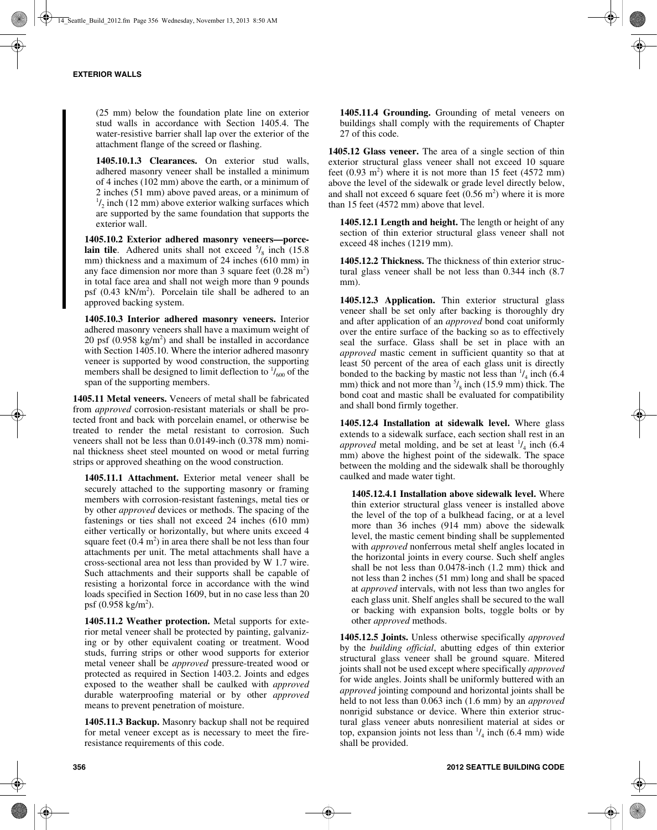(25 mm) below the foundation plate line on exterior stud walls in accordance with Section 1405.4. The water-resistive barrier shall lap over the exterior of the attachment flange of the screed or flashing.

**1405.10.1.3 Clearances.** On exterior stud walls, adhered masonry veneer shall be installed a minimum of 4 inches (102 mm) above the earth, or a minimum of 2 inches (51 mm) above paved areas, or a minimum of  $\frac{1}{2}$  inch (12 mm) above exterior walking surfaces which are supported by the same foundation that supports the exterior wall.

**1405.10.2 Exterior adhered masonry veneers—porcelain tile**. Adhered units shall not exceed  $\frac{5}{8}$  inch (15.8) mm) thickness and a maximum of 24 inches (610 mm) in any face dimension nor more than 3 square feet  $(0.28 \text{ m}^2)$ in total face area and shall not weigh more than 9 pounds psf (0.43 kN/m<sup>2</sup>). Porcelain tile shall be adhered to an approved backing system.

**1405.10.3 Interior adhered masonry veneers.** Interior adhered masonry veneers shall have a maximum weight of 20 psf  $(0.958 \text{ kg/m}^2)$  and shall be installed in accordance with Section 1405.10. Where the interior adhered masonry veneer is supported by wood construction, the supporting members shall be designed to limit deflection to  $\frac{1}{600}$  of the span of the supporting members.

**1405.11 Metal veneers.** Veneers of metal shall be fabricated from *approved* corrosion-resistant materials or shall be protected front and back with porcelain enamel, or otherwise be treated to render the metal resistant to corrosion. Such veneers shall not be less than 0.0149-inch (0.378 mm) nominal thickness sheet steel mounted on wood or metal furring strips or approved sheathing on the wood construction.

**1405.11.1 Attachment.** Exterior metal veneer shall be securely attached to the supporting masonry or framing members with corrosion-resistant fastenings, metal ties or by other *approved* devices or methods. The spacing of the fastenings or ties shall not exceed 24 inches (610 mm) either vertically or horizontally, but where units exceed 4 square feet  $(0.4 \text{ m}^2)$  in area there shall be not less than four attachments per unit. The metal attachments shall have a cross-sectional area not less than provided by W 1.7 wire. Such attachments and their supports shall be capable of resisting a horizontal force in accordance with the wind loads specified in Section 1609, but in no case less than 20 psf (0.958 kg/m<sup>2</sup>).

**1405.11.2 Weather protection.** Metal supports for exterior metal veneer shall be protected by painting, galvanizing or by other equivalent coating or treatment. Wood studs, furring strips or other wood supports for exterior metal veneer shall be *approved* pressure-treated wood or protected as required in Section 1403.2. Joints and edges exposed to the weather shall be caulked with *approved* durable waterproofing material or by other *approved* means to prevent penetration of moisture.

**1405.11.3 Backup.** Masonry backup shall not be required for metal veneer except as is necessary to meet the fireresistance requirements of this code.

**1405.11.4 Grounding.** Grounding of metal veneers on buildings shall comply with the requirements of Chapter 27 of this code.

**1405.12 Glass veneer.** The area of a single section of thin exterior structural glass veneer shall not exceed 10 square feet  $(0.93 \text{ m}^2)$  where it is not more than 15 feet  $(4572 \text{ mm})$ above the level of the sidewalk or grade level directly below, and shall not exceed 6 square feet  $(0.56 \text{ m}^2)$  where it is more than 15 feet (4572 mm) above that level.

**1405.12.1 Length and height.** The length or height of any section of thin exterior structural glass veneer shall not exceed 48 inches (1219 mm).

**1405.12.2 Thickness.** The thickness of thin exterior structural glass veneer shall be not less than 0.344 inch (8.7 mm).

**1405.12.3 Application.** Thin exterior structural glass veneer shall be set only after backing is thoroughly dry and after application of an *approved* bond coat uniformly over the entire surface of the backing so as to effectively seal the surface. Glass shall be set in place with an *approved* mastic cement in sufficient quantity so that at least 50 percent of the area of each glass unit is directly bonded to the backing by mastic not less than  $\frac{1}{4}$  inch (6.4) mm) thick and not more than  $\frac{5}{8}$  inch (15.9 mm) thick. The bond coat and mastic shall be evaluated for compatibility and shall bond firmly together.

**1405.12.4 Installation at sidewalk level.** Where glass extends to a sidewalk surface, each section shall rest in an *approved* metal molding, and be set at least  $\frac{1}{4}$  inch (6.4) mm) above the highest point of the sidewalk. The space between the molding and the sidewalk shall be thoroughly caulked and made water tight.

**1405.12.4.1 Installation above sidewalk level.** Where thin exterior structural glass veneer is installed above the level of the top of a bulkhead facing, or at a level more than 36 inches (914 mm) above the sidewalk level, the mastic cement binding shall be supplemented with *approved* nonferrous metal shelf angles located in the horizontal joints in every course. Such shelf angles shall be not less than 0.0478-inch (1.2 mm) thick and not less than 2 inches (51 mm) long and shall be spaced at *approved* intervals, with not less than two angles for each glass unit. Shelf angles shall be secured to the wall or backing with expansion bolts, toggle bolts or by other *approved* methods.

**1405.12.5 Joints.** Unless otherwise specifically *approved* by the *building official*, abutting edges of thin exterior structural glass veneer shall be ground square. Mitered joints shall not be used except where specifically *approved* for wide angles. Joints shall be uniformly buttered with an *approved* jointing compound and horizontal joints shall be held to not less than 0.063 inch (1.6 mm) by an *approved* nonrigid substance or device. Where thin exterior structural glass veneer abuts nonresilient material at sides or top, expansion joints not less than  $\frac{1}{4}$  inch (6.4 mm) wide shall be provided.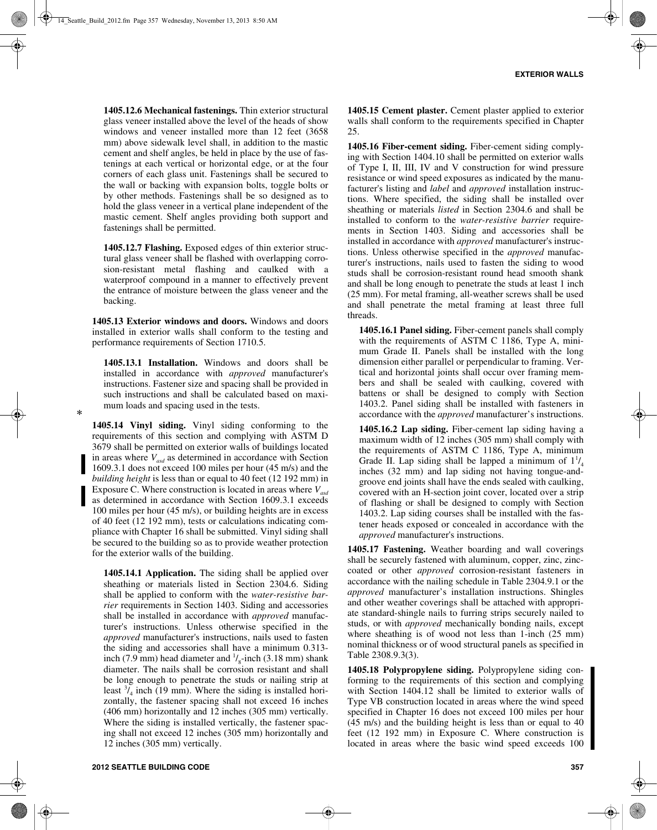**1405.12.6 Mechanical fastenings.** Thin exterior structural glass veneer installed above the level of the heads of show windows and veneer installed more than 12 feet (3658 mm) above sidewalk level shall, in addition to the mastic cement and shelf angles, be held in place by the use of fastenings at each vertical or horizontal edge, or at the four corners of each glass unit. Fastenings shall be secured to the wall or backing with expansion bolts, toggle bolts or by other methods. Fastenings shall be so designed as to hold the glass veneer in a vertical plane independent of the mastic cement. Shelf angles providing both support and fastenings shall be permitted.

**1405.12.7 Flashing.** Exposed edges of thin exterior structural glass veneer shall be flashed with overlapping corrosion-resistant metal flashing and caulked with a waterproof compound in a manner to effectively prevent the entrance of moisture between the glass veneer and the backing.

**1405.13 Exterior windows and doors.** Windows and doors installed in exterior walls shall conform to the testing and performance requirements of Section 1710.5.

**1405.13.1 Installation.** Windows and doors shall be installed in accordance with *approved* manufacturer's instructions. Fastener size and spacing shall be provided in such instructions and shall be calculated based on maximum loads and spacing used in the tests.

**1405.14 Vinyl siding.** Vinyl siding conforming to the requirements of this section and complying with ASTM D 3679 shall be permitted on exterior walls of buildings located in areas where  $V_{\text{asd}}$  as determined in accordance with Section 1609.3.1 does not exceed 100 miles per hour (45 m/s) and the *building height* is less than or equal to 40 feet (12 192 mm) in Exposure C. Where construction is located in areas where  $V_{\text{gcd}}$ as determined in accordance with Section 1609.3.1 exceeds 100 miles per hour (45 m/s), or building heights are in excess of 40 feet (12 192 mm), tests or calculations indicating compliance with Chapter 16 shall be submitted. Vinyl siding shall be secured to the building so as to provide weather protection for the exterior walls of the building.

**1405.14.1 Application.** The siding shall be applied over sheathing or materials listed in Section 2304.6. Siding shall be applied to conform with the *water-resistive barrier* requirements in Section 1403. Siding and accessories shall be installed in accordance with *approved* manufacturer's instructions. Unless otherwise specified in the *approved* manufacturer's instructions, nails used to fasten the siding and accessories shall have a minimum 0.313 inch (7.9 mm) head diameter and  $\frac{1}{8}$ -inch (3.18 mm) shank diameter. The nails shall be corrosion resistant and shall be long enough to penetrate the studs or nailing strip at least  $\frac{3}{4}$  inch (19 mm). Where the siding is installed horizontally, the fastener spacing shall not exceed 16 inches (406 mm) horizontally and 12 inches (305 mm) vertically. Where the siding is installed vertically, the fastener spacing shall not exceed 12 inches (305 mm) horizontally and 12 inches (305 mm) vertically.

**1405.15 Cement plaster.** Cement plaster applied to exterior walls shall conform to the requirements specified in Chapter 25.

**1405.16 Fiber-cement siding.** Fiber-cement siding complying with Section 1404.10 shall be permitted on exterior walls of Type I, II, III, IV and V construction for wind pressure resistance or wind speed exposures as indicated by the manufacturer's listing and *label* and *approved* installation instructions. Where specified, the siding shall be installed over sheathing or materials *listed* in Section 2304.6 and shall be installed to conform to the *water-resistive barrier* requirements in Section 1403. Siding and accessories shall be installed in accordance with *approved* manufacturer's instructions. Unless otherwise specified in the *approved* manufacturer's instructions, nails used to fasten the siding to wood studs shall be corrosion-resistant round head smooth shank and shall be long enough to penetrate the studs at least 1 inch (25 mm). For metal framing, all-weather screws shall be used and shall penetrate the metal framing at least three full threads.

**1405.16.1 Panel siding.** Fiber-cement panels shall comply with the requirements of ASTM C 1186, Type A, minimum Grade II. Panels shall be installed with the long dimension either parallel or perpendicular to framing. Vertical and horizontal joints shall occur over framing members and shall be sealed with caulking, covered with battens or shall be designed to comply with Section 1403.2. Panel siding shall be installed with fasteners in accordance with the *approved* manufacturer's instructions.

**1405.16.2 Lap siding.** Fiber-cement lap siding having a maximum width of 12 inches (305 mm) shall comply with the requirements of ASTM C 1186, Type A, minimum Grade II. Lap siding shall be lapped a minimum of  $1^{1}/_4$ inches (32 mm) and lap siding not having tongue-andgroove end joints shall have the ends sealed with caulking, covered with an H-section joint cover, located over a strip of flashing or shall be designed to comply with Section 1403.2. Lap siding courses shall be installed with the fastener heads exposed or concealed in accordance with the *approved* manufacturer's instructions.

**1405.17 Fastening.** Weather boarding and wall coverings shall be securely fastened with aluminum, copper, zinc, zinccoated or other *approved* corrosion-resistant fasteners in accordance with the nailing schedule in Table 2304.9.1 or the *approved* manufacturer's installation instructions. Shingles and other weather coverings shall be attached with appropriate standard-shingle nails to furring strips securely nailed to studs, or with *approved* mechanically bonding nails, except where sheathing is of wood not less than 1-inch (25 mm) nominal thickness or of wood structural panels as specified in Table 2308.9.3(3).

**1405.18 Polypropylene siding.** Polypropylene siding conforming to the requirements of this section and complying with Section 1404.12 shall be limited to exterior walls of Type VB construction located in areas where the wind speed specified in Chapter 16 does not exceed 100 miles per hour (45 m/s) and the building height is less than or equal to 40 feet (12 192 mm) in Exposure C. Where construction is located in areas where the basic wind speed exceeds 100

\*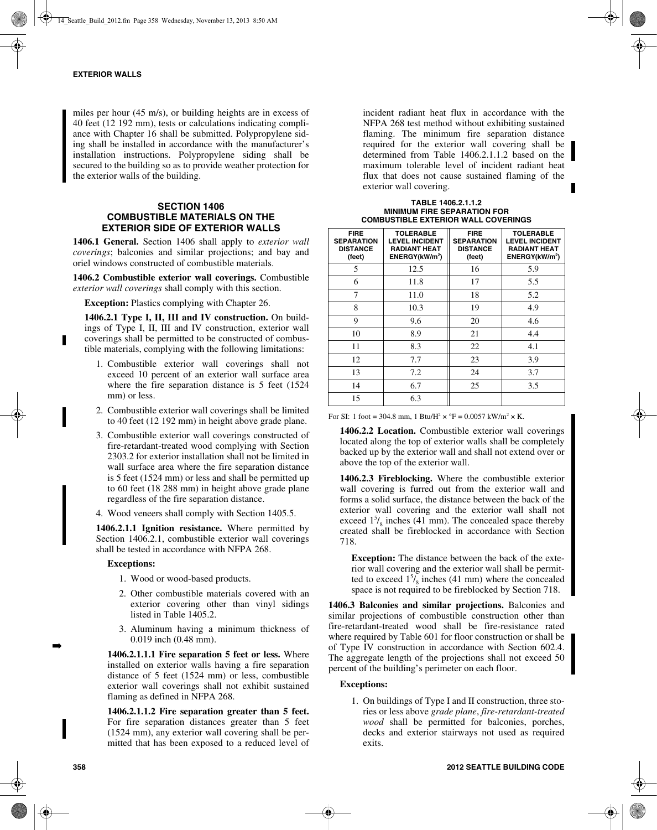miles per hour (45 m/s), or building heights are in excess of 40 feet (12 192 mm), tests or calculations indicating compliance with Chapter 16 shall be submitted. Polypropylene siding shall be installed in accordance with the manufacturer's installation instructions. Polypropylene siding shall be secured to the building so as to provide weather protection for the exterior walls of the building.

## **SECTION 1406 COMBUSTIBLE MATERIALS ON THE EXTERIOR SIDE OF EXTERIOR WALLS**

**1406.1 General.** Section 1406 shall apply to *exterior wall coverings*; balconies and similar projections; and bay and oriel windows constructed of combustible materials.

**1406.2 Combustible exterior wall coverings.** Combustible *exterior wall coverings* shall comply with this section.

**Exception:** Plastics complying with Chapter 26.

1406.2.1 Type I, II, III and IV construction. On buildings of Type I, II, III and IV construction, exterior wall coverings shall be permitted to be constructed of combustible materials, complying with the following limitations:

- 1. Combustible exterior wall coverings shall not exceed 10 percent of an exterior wall surface area where the fire separation distance is 5 feet (1524 mm) or less.
- 2. Combustible exterior wall coverings shall be limited to 40 feet (12 192 mm) in height above grade plane.
- 3. Combustible exterior wall coverings constructed of fire-retardant-treated wood complying with Section 2303.2 for exterior installation shall not be limited in wall surface area where the fire separation distance is 5 feet (1524 mm) or less and shall be permitted up to 60 feet (18 288 mm) in height above grade plane regardless of the fire separation distance.

4. Wood veneers shall comply with Section 1405.5.

**1406.2.1.1 Ignition resistance.** Where permitted by Section 1406.2.1, combustible exterior wall coverings shall be tested in accordance with NFPA 268.

#### **Exceptions:**

- 1. Wood or wood-based products.
- 2. Other combustible materials covered with an exterior covering other than vinyl sidings listed in Table 1405.2.
- 3. Aluminum having a minimum thickness of 0.019 inch (0.48 mm).

**1406.2.1.1.1 Fire separation 5 feet or less.** Where installed on exterior walls having a fire separation distance of 5 feet (1524 mm) or less, combustible exterior wall coverings shall not exhibit sustained flaming as defined in NFPA 268.

**1406.2.1.1.2 Fire separation greater than 5 feet.** For fire separation distances greater than 5 feet (1524 mm), any exterior wall covering shall be permitted that has been exposed to a reduced level of incident radiant heat flux in accordance with the NFPA 268 test method without exhibiting sustained flaming. The minimum fire separation distance required for the exterior wall covering shall be determined from Table 1406.2.1.1.2 based on the maximum tolerable level of incident radiant heat flux that does not cause sustained flaming of the exterior wall covering.

**TABLE 1406.2.1.1.2 MINIMUM FIRE SEPARATION FOR COMBUSTIBLE EXTERIOR WALL COVERINGS**

| <b>FIRE</b><br><b>SEPARATION</b><br><b>DISTANCE</b><br>(feet) | <b>TOLERABLE</b><br><b>LEVEL INCIDENT</b><br><b>RADIANT HEAT</b><br>ENERGY(kW/m <sup>2</sup> ) | <b>FIRE</b><br><b>SEPARATION</b><br><b>DISTANCE</b><br>(feet) | <b>TOLERABLE</b><br><b>LEVEL INCIDENT</b><br><b>RADIANT HEAT</b><br>ENERGY(kW/m <sup>2</sup> ) |
|---------------------------------------------------------------|------------------------------------------------------------------------------------------------|---------------------------------------------------------------|------------------------------------------------------------------------------------------------|
| 5                                                             | 12.5                                                                                           | 16                                                            | 5.9                                                                                            |
| 6                                                             | 11.8                                                                                           | 17                                                            | 5.5                                                                                            |
| 7                                                             | 11.0                                                                                           | 18                                                            | 5.2                                                                                            |
| 8                                                             | 10.3                                                                                           | 19                                                            | 4.9                                                                                            |
| 9                                                             | 9.6                                                                                            | 20                                                            | 4.6                                                                                            |
| 10                                                            | 8.9                                                                                            | 21                                                            | 4.4                                                                                            |
| 11                                                            | 8.3                                                                                            | 22                                                            | 4.1                                                                                            |
| 12                                                            | 7.7                                                                                            | 23                                                            | 3.9                                                                                            |
| 13                                                            | 7.2                                                                                            | 24                                                            | 3.7                                                                                            |
| 14                                                            | 6.7                                                                                            | 25                                                            | 3.5                                                                                            |
| 15                                                            | 6.3                                                                                            |                                                               |                                                                                                |

For SI: 1 foot = 304.8 mm, 1 Btu/H<sup>2</sup>  $\times$  °F = 0.0057 kW/m<sup>2</sup>  $\times$  K.

**1406.2.2 Location.** Combustible exterior wall coverings located along the top of exterior walls shall be completely backed up by the exterior wall and shall not extend over or above the top of the exterior wall.

**1406.2.3 Fireblocking.** Where the combustible exterior wall covering is furred out from the exterior wall and forms a solid surface, the distance between the back of the exterior wall covering and the exterior wall shall not exceed  $1<sup>5</sup> /_{8}$  inches (41 mm). The concealed space thereby created shall be fireblocked in accordance with Section 718.

**Exception:** The distance between the back of the exterior wall covering and the exterior wall shall be permitted to exceed  $1<sup>5</sup> /_{8}$  inches (41 mm) where the concealed space is not required to be fireblocked by Section 718.

**1406.3 Balconies and similar projections.** Balconies and similar projections of combustible construction other than fire-retardant-treated wood shall be fire-resistance rated where required by Table 601 for floor construction or shall be of Type IV construction in accordance with Section 602.4. The aggregate length of the projections shall not exceed 50 percent of the building's perimeter on each floor.

## **Exceptions:**

1. On buildings of Type I and II construction, three stories or less above *grade plane*, *fire-retardant-treated wood* shall be permitted for balconies, porches, decks and exterior stairways not used as required exits.

➡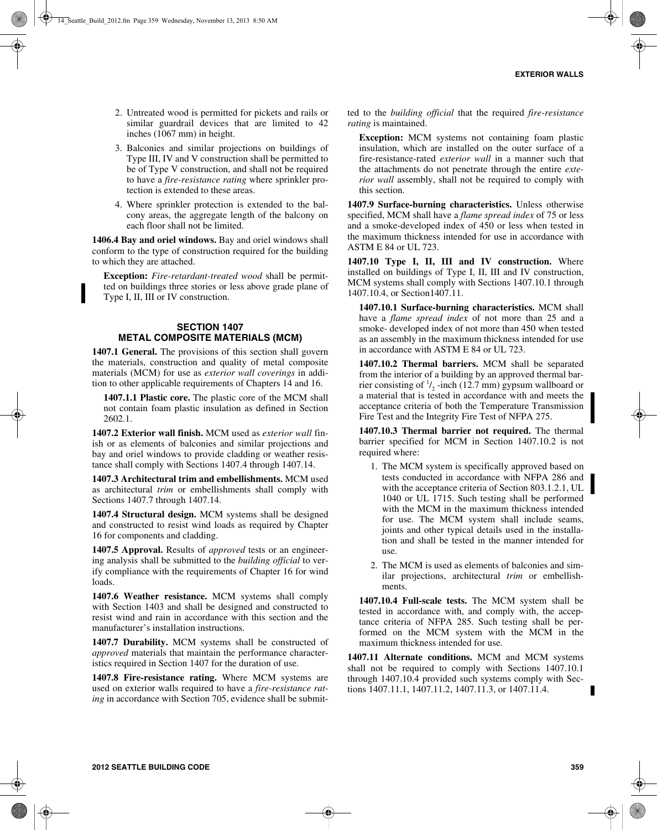- 2. Untreated wood is permitted for pickets and rails or similar guardrail devices that are limited to 42 inches (1067 mm) in height.
- 3. Balconies and similar projections on buildings of Type III, IV and V construction shall be permitted to be of Type V construction, and shall not be required to have a *fire-resistance rating* where sprinkler protection is extended to these areas.
- 4. Where sprinkler protection is extended to the balcony areas, the aggregate length of the balcony on each floor shall not be limited.

**1406.4 Bay and oriel windows.** Bay and oriel windows shall conform to the type of construction required for the building to which they are attached.

**Exception:** *Fire-retardant-treated wood* shall be permitted on buildings three stories or less above grade plane of Type I, II, III or IV construction.

## **SECTION 1407 METAL COMPOSITE MATERIALS (MCM)**

**1407.1 General.** The provisions of this section shall govern the materials, construction and quality of metal composite materials (MCM) for use as *exterior wall coverings* in addition to other applicable requirements of Chapters 14 and 16.

**1407.1.1 Plastic core.** The plastic core of the MCM shall not contain foam plastic insulation as defined in Section 2602.1.

**1407.2 Exterior wall finish.** MCM used as *exterior wall* finish or as elements of balconies and similar projections and bay and oriel windows to provide cladding or weather resistance shall comply with Sections 1407.4 through 1407.14.

**1407.3 Architectural trim and embellishments.** MCM used as architectural *trim* or embellishments shall comply with Sections 1407.7 through 1407.14.

**1407.4 Structural design.** MCM systems shall be designed and constructed to resist wind loads as required by Chapter 16 for components and cladding.

**1407.5 Approval.** Results of *approved* tests or an engineering analysis shall be submitted to the *building official* to verify compliance with the requirements of Chapter 16 for wind loads.

**1407.6 Weather resistance.** MCM systems shall comply with Section 1403 and shall be designed and constructed to resist wind and rain in accordance with this section and the manufacturer's installation instructions.

**1407.7 Durability.** MCM systems shall be constructed of *approved* materials that maintain the performance characteristics required in Section 1407 for the duration of use.

**1407.8 Fire-resistance rating.** Where MCM systems are used on exterior walls required to have a *fire-resistance rating* in accordance with Section 705, evidence shall be submitted to the *building official* that the required *fire-resistance rating* is maintained.

**Exception:** MCM systems not containing foam plastic insulation, which are installed on the outer surface of a fire-resistance-rated *exterior wall* in a manner such that the attachments do not penetrate through the entire *exterior wall* assembly, shall not be required to comply with this section.

**1407.9 Surface-burning characteristics.** Unless otherwise specified, MCM shall have a *flame spread index* of 75 or less and a smoke-developed index of 450 or less when tested in the maximum thickness intended for use in accordance with ASTM E 84 or UL 723.

**1407.10 Type I, II, III and IV construction.** Where installed on buildings of Type I, II, III and IV construction, MCM systems shall comply with Sections 1407.10.1 through 1407.10.4, or Section1407.11.

**1407.10.1 Surface-burning characteristics.** MCM shall have a *flame spread index* of not more than 25 and a smoke- developed index of not more than 450 when tested as an assembly in the maximum thickness intended for use in accordance with ASTM E 84 or UL 723.

**1407.10.2 Thermal barriers.** MCM shall be separated from the interior of a building by an approved thermal barrier consisting of  $\frac{1}{2}$ -inch (12.7 mm) gypsum wallboard or a material that is tested in accordance with and meets the acceptance criteria of both the Temperature Transmission Fire Test and the Integrity Fire Test of NFPA 275.

**1407.10.3 Thermal barrier not required.** The thermal barrier specified for MCM in Section 1407.10.2 is not required where:

- 1. The MCM system is specifically approved based on tests conducted in accordance with NFPA 286 and with the acceptance criteria of Section 803.1.2.1, UL 1040 or UL 1715. Such testing shall be performed with the MCM in the maximum thickness intended for use. The MCM system shall include seams, joints and other typical details used in the installation and shall be tested in the manner intended for use.
- 2. The MCM is used as elements of balconies and similar projections, architectural *trim* or embellishments.

**1407.10.4 Full-scale tests.** The MCM system shall be tested in accordance with, and comply with, the acceptance criteria of NFPA 285. Such testing shall be performed on the MCM system with the MCM in the maximum thickness intended for use.

**1407.11 Alternate conditions.** MCM and MCM systems shall not be required to comply with Sections 1407.10.1 through 1407.10.4 provided such systems comply with Sections 1407.11.1, 1407.11.2, 1407.11.3, or 1407.11.4.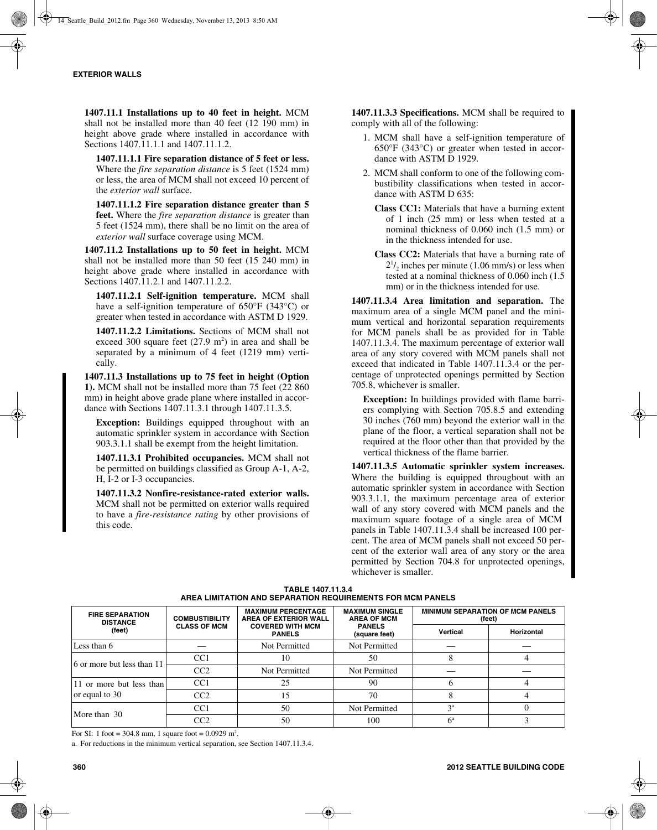**1407.11.1 Installations up to 40 feet in height.** MCM shall not be installed more than 40 feet (12 190 mm) in height above grade where installed in accordance with Sections 1407.11.1.1 and 1407.11.1.2.

**1407.11.1.1 Fire separation distance of 5 feet or less.** Where the *fire separation distance* is 5 feet (1524 mm) or less, the area of MCM shall not exceed 10 percent of the *exterior wall* surface.

**1407.11.1.2 Fire separation distance greater than 5 feet.** Where the *fire separation distance* is greater than 5 feet (1524 mm), there shall be no limit on the area of *exterior wall* surface coverage using MCM.

**1407.11.2 Installations up to 50 feet in height.** MCM shall not be installed more than 50 feet  $(15\ 240\ mm)$  in height above grade where installed in accordance with Sections 1407.11.2.1 and 1407.11.2.2.

**1407.11.2.1 Self-ignition temperature.** MCM shall have a self-ignition temperature of 650°F (343°C) or greater when tested in accordance with ASTM D 1929.

**1407.11.2.2 Limitations.** Sections of MCM shall not exceed 300 square feet  $(27.9 \text{ m}^2)$  in area and shall be separated by a minimum of 4 feet (1219 mm) vertically.

**1407.11.3 Installations up to 75 feet in height (Option 1).** MCM shall not be installed more than 75 feet (22 860 mm) in height above grade plane where installed in accordance with Sections 1407.11.3.1 through 1407.11.3.5.

**Exception:** Buildings equipped throughout with an automatic sprinkler system in accordance with Section 903.3.1.1 shall be exempt from the height limitation.

**1407.11.3.1 Prohibited occupancies.** MCM shall not be permitted on buildings classified as Group A-1, A-2, H, I-2 or I-3 occupancies.

**1407.11.3.2 Nonfire-resistance-rated exterior walls.** MCM shall not be permitted on exterior walls required to have a *fire-resistance rating* by other provisions of this code.

**1407.11.3.3 Specifications.** MCM shall be required to comply with all of the following:

- 1. MCM shall have a self-ignition temperature of 650°F (343°C) or greater when tested in accordance with ASTM D 1929.
- 2. MCM shall conform to one of the following combustibility classifications when tested in accordance with ASTM D 635:
	- **Class CC1:** Materials that have a burning extent of 1 inch (25 mm) or less when tested at a nominal thickness of 0.060 inch (1.5 mm) or in the thickness intended for use.
	- **Class CC2:** Materials that have a burning rate of  $2^{1}/_{2}$  inches per minute (1.06 mm/s) or less when tested at a nominal thickness of 0.060 inch (1.5 mm) or in the thickness intended for use.

**1407.11.3.4 Area limitation and separation.** The maximum area of a single MCM panel and the minimum vertical and horizontal separation requirements for MCM panels shall be as provided for in Table 1407.11.3.4. The maximum percentage of exterior wall area of any story covered with MCM panels shall not exceed that indicated in Table 1407.11.3.4 or the percentage of unprotected openings permitted by Section 705.8, whichever is smaller.

**Exception:** In buildings provided with flame barriers complying with Section 705.8.5 and extending 30 inches (760 mm) beyond the exterior wall in the plane of the floor, a vertical separation shall not be required at the floor other than that provided by the vertical thickness of the flame barrier.

**1407.11.3.5 Automatic sprinkler system increases.** Where the building is equipped throughout with an automatic sprinkler system in accordance with Section 903.3.1.1, the maximum percentage area of exterior wall of any story covered with MCM panels and the maximum square footage of a single area of MCM panels in Table 1407.11.3.4 shall be increased 100 percent. The area of MCM panels shall not exceed 50 percent of the exterior wall area of any story or the area permitted by Section 704.8 for unprotected openings, whichever is smaller.

| <b>FIRE SEPARATION</b><br><b>DISTANCE</b> | <b>COMBUSTIBILITY</b><br><b>CLASS OF MCM</b> | <b>MAXIMUM PERCENTAGE</b><br>AREA OF EXTERIOR WALL<br><b>COVERED WITH MCM</b><br><b>PANELS</b> | <b>MAXIMUM SINGLE</b><br><b>AREA OF MCM</b><br><b>PANELS</b><br>(square feet) | <b>MINIMUM SEPARATION OF MCM PANELS</b><br>(feet) |                   |  |  |  |
|-------------------------------------------|----------------------------------------------|------------------------------------------------------------------------------------------------|-------------------------------------------------------------------------------|---------------------------------------------------|-------------------|--|--|--|
| (feet)                                    |                                              |                                                                                                |                                                                               | Vertical                                          | <b>Horizontal</b> |  |  |  |
| Less than 6                               |                                              | Not Permitted                                                                                  | Not Permitted                                                                 |                                                   |                   |  |  |  |
| 6 or more but less than 11                | CC <sub>1</sub>                              | 10                                                                                             | 50                                                                            |                                                   |                   |  |  |  |
|                                           | CC2                                          | Not Permitted                                                                                  | Not Permitted                                                                 |                                                   |                   |  |  |  |
| 11 or more but less than                  | CC <sub>1</sub>                              | 25                                                                                             | 90                                                                            |                                                   |                   |  |  |  |
| or equal to 30                            | CC2                                          | 15                                                                                             | 70                                                                            |                                                   |                   |  |  |  |
| More than 30                              | CC1                                          | 50                                                                                             | Not Permitted                                                                 | 3 <sup>a</sup>                                    |                   |  |  |  |
|                                           | CC2                                          | 50                                                                                             | 100                                                                           | $6^{\circ}$                                       |                   |  |  |  |

**TABLE 1407.11.3.4 AREA LIMITATION AND SEPARATION REQUIREMENTS FOR MCM PANELS**

For SI: 1 foot = 304.8 mm, 1 square foot =  $0.0929$  m<sup>2</sup>.

a. For reductions in the minimum vertical separation, see Section 1407.11.3.4.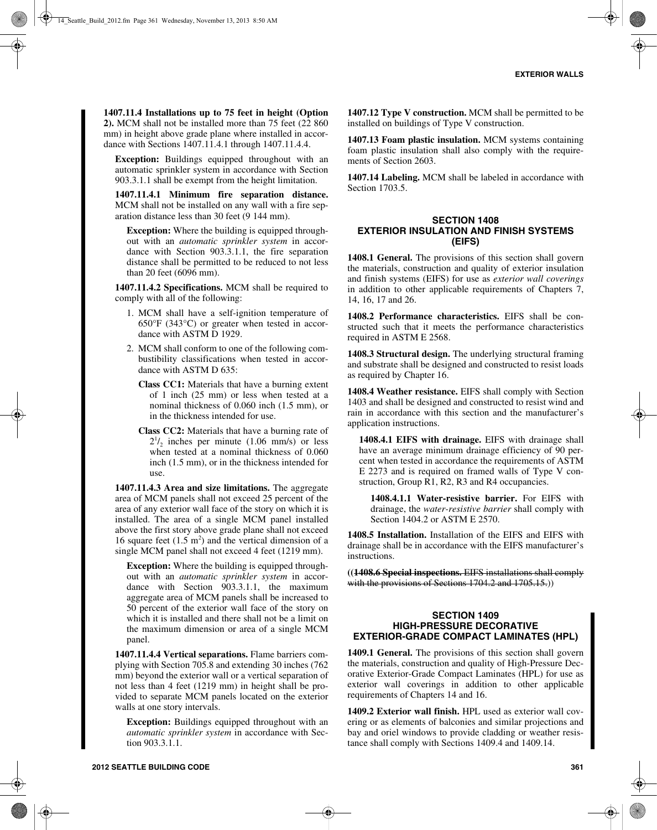**1407.11.4 Installations up to 75 feet in height (Option 2).** MCM shall not be installed more than 75 feet (22 860 mm) in height above grade plane where installed in accordance with Sections 1407.11.4.1 through 1407.11.4.4.

**Exception:** Buildings equipped throughout with an automatic sprinkler system in accordance with Section 903.3.1.1 shall be exempt from the height limitation.

**1407.11.4.1 Minimum fire separation distance.** MCM shall not be installed on any wall with a fire separation distance less than 30 feet (9 144 mm).

**Exception:** Where the building is equipped throughout with an *automatic sprinkler system* in accordance with Section 903.3.1.1, the fire separation distance shall be permitted to be reduced to not less than 20 feet (6096 mm).

**1407.11.4.2 Specifications.** MCM shall be required to comply with all of the following:

- 1. MCM shall have a self-ignition temperature of 650°F (343°C) or greater when tested in accordance with ASTM D 1929.
- 2. MCM shall conform to one of the following combustibility classifications when tested in accordance with ASTM D 635:
	- **Class CC1:** Materials that have a burning extent of 1 inch (25 mm) or less when tested at a nominal thickness of 0.060 inch (1.5 mm), or in the thickness intended for use.
	- **Class CC2:** Materials that have a burning rate of  $2^{1}/_{2}$  inches per minute (1.06 mm/s) or less when tested at a nominal thickness of 0.060 inch (1.5 mm), or in the thickness intended for use.

**1407.11.4.3 Area and size limitations.** The aggregate area of MCM panels shall not exceed 25 percent of the area of any exterior wall face of the story on which it is installed. The area of a single MCM panel installed above the first story above grade plane shall not exceed 16 square feet  $(1.5 \text{ m}^2)$  and the vertical dimension of a single MCM panel shall not exceed 4 feet (1219 mm).

**Exception:** Where the building is equipped throughout with an *automatic sprinkler system* in accordance with Section 903.3.1.1, the maximum aggregate area of MCM panels shall be increased to 50 percent of the exterior wall face of the story on which it is installed and there shall not be a limit on the maximum dimension or area of a single MCM panel.

**1407.11.4.4 Vertical separations.** Flame barriers complying with Section 705.8 and extending 30 inches (762 mm) beyond the exterior wall or a vertical separation of not less than 4 feet (1219 mm) in height shall be provided to separate MCM panels located on the exterior walls at one story intervals.

**Exception:** Buildings equipped throughout with an *automatic sprinkler system* in accordance with Section 903.3.1.1.

**1407.12 Type V construction.** MCM shall be permitted to be installed on buildings of Type V construction.

**1407.13 Foam plastic insulation.** MCM systems containing foam plastic insulation shall also comply with the requirements of Section 2603.

**1407.14 Labeling.** MCM shall be labeled in accordance with Section 1703.5.

# **SECTION 1408 EXTERIOR INSULATION AND FINISH SYSTEMS (EIFS)**

1408.1 General. The provisions of this section shall govern the materials, construction and quality of exterior insulation and finish systems (EIFS) for use as *exterior wall coverings* in addition to other applicable requirements of Chapters 7, 14, 16, 17 and 26.

**1408.2 Performance characteristics.** EIFS shall be constructed such that it meets the performance characteristics required in ASTM E 2568.

**1408.3 Structural design.** The underlying structural framing and substrate shall be designed and constructed to resist loads as required by Chapter 16.

**1408.4 Weather resistance.** EIFS shall comply with Section 1403 and shall be designed and constructed to resist wind and rain in accordance with this section and the manufacturer's application instructions.

**1408.4.1 EIFS with drainage.** EIFS with drainage shall have an average minimum drainage efficiency of 90 percent when tested in accordance the requirements of ASTM E 2273 and is required on framed walls of Type V construction, Group R1, R2, R3 and R4 occupancies.

**1408.4.1.1 Water-resistive barrier.** For EIFS with drainage, the *water-resistive barrier* shall comply with Section 1404.2 or ASTM E 2570.

**1408.5 Installation.** Installation of the EIFS and EIFS with drainage shall be in accordance with the EIFS manufacturer's instructions.

**((1408.6 Special inspections.** EIFS installations shall comply with the provisions of Sections 1704.2 and 1705.15.)

### **SECTION 1409 HIGH-PRESSURE DECORATIVE EXTERIOR-GRADE COMPACT LAMINATES (HPL)**

**1409.1 General.** The provisions of this section shall govern the materials, construction and quality of High-Pressure Decorative Exterior-Grade Compact Laminates (HPL) for use as exterior wall coverings in addition to other applicable requirements of Chapters 14 and 16.

**1409.2 Exterior wall finish.** HPL used as exterior wall covering or as elements of balconies and similar projections and bay and oriel windows to provide cladding or weather resistance shall comply with Sections 1409.4 and 1409.14.